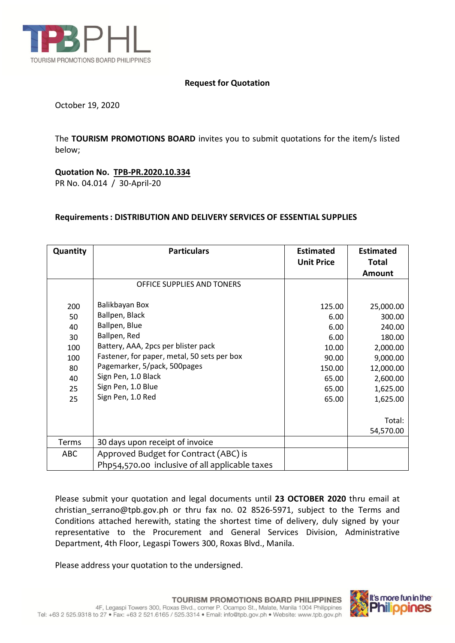

## **Request for Quotation**

October 19, 2020

The **TOURISM PROMOTIONS BOARD** invites you to submit quotations for the item/s listed below;

**Quotation No. TPB-PR.2020.10.334** PR No. 04.014 / 30-April-20

## **Requirements: DISTRIBUTION AND DELIVERY SERVICES OF ESSENTIAL SUPPLIES**

| Quantity   | <b>Particulars</b>                             | <b>Estimated</b><br><b>Unit Price</b> | <b>Estimated</b><br><b>Total</b> |
|------------|------------------------------------------------|---------------------------------------|----------------------------------|
|            |                                                |                                       | <b>Amount</b>                    |
|            | OFFICE SUPPLIES AND TONERS                     |                                       |                                  |
| 200        | Balikbayan Box                                 | 125.00                                | 25,000.00                        |
| 50         | Ballpen, Black                                 | 6.00                                  | 300.00                           |
| 40         | Ballpen, Blue                                  | 6.00                                  | 240.00                           |
| 30         | Ballpen, Red                                   | 6.00                                  | 180.00                           |
| 100        | Battery, AAA, 2pcs per blister pack            | 10.00                                 | 2,000.00                         |
| 100        | Fastener, for paper, metal, 50 sets per box    | 90.00                                 | 9,000.00                         |
| 80         | Pagemarker, 5/pack, 500pages                   | 150.00                                | 12,000.00                        |
| 40         | Sign Pen, 1.0 Black                            | 65.00                                 | 2,600.00                         |
| 25         | Sign Pen, 1.0 Blue                             | 65.00                                 | 1,625.00                         |
| 25         | Sign Pen, 1.0 Red                              | 65.00                                 | 1,625.00                         |
|            |                                                |                                       | Total:                           |
|            |                                                |                                       | 54,570.00                        |
| Terms      | 30 days upon receipt of invoice                |                                       |                                  |
| <b>ABC</b> | Approved Budget for Contract (ABC) is          |                                       |                                  |
|            | Php54,570.00 inclusive of all applicable taxes |                                       |                                  |

Please submit your quotation and legal documents until **23 OCTOBER 2020** thru email at christian serrano@tpb.gov.ph or thru fax no. 02 8526-5971, subject to the Terms and Conditions attached herewith, stating the shortest time of delivery, duly signed by your representative to the Procurement and General Services Division, Administrative Department, 4th Floor, Legaspi Towers 300, Roxas Blvd., Manila.

Please address your quotation to the undersigned.